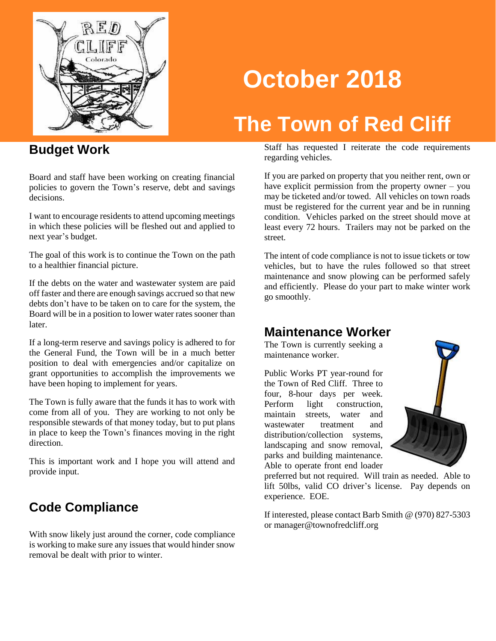

# **October 2018**

## **The Town of Red Cliff**

#### **Budget Work**

Board and staff have been working on creating financial policies to govern the Town's reserve, debt and savings decisions.

I want to encourage residents to attend upcoming meetings in which these policies will be fleshed out and applied to next year's budget.

The goal of this work is to continue the Town on the path to a healthier financial picture.

If the debts on the water and wastewater system are paid off faster and there are enough savings accrued so that new debts don't have to be taken on to care for the system, the Board will be in a position to lower water rates sooner than later.

If a long-term reserve and savings policy is adhered to for the General Fund, the Town will be in a much better position to deal with emergencies and/or capitalize on grant opportunities to accomplish the improvements we have been hoping to implement for years.

The Town is fully aware that the funds it has to work with come from all of you. They are working to not only be responsible stewards of that money today, but to put plans in place to keep the Town's finances moving in the right direction.

This is important work and I hope you will attend and provide input.

#### **Code Compliance**

With snow likely just around the corner, code compliance is working to make sure any issues that would hinder snow removal be dealt with prior to winter.

Staff has requested I reiterate the code requirements regarding vehicles.

If you are parked on property that you neither rent, own or have explicit permission from the property owner – you may be ticketed and/or towed. All vehicles on town roads must be registered for the current year and be in running condition. Vehicles parked on the street should move at least every 72 hours. Trailers may not be parked on the street.

The intent of code compliance is not to issue tickets or tow vehicles, but to have the rules followed so that street maintenance and snow plowing can be performed safely and efficiently. Please do your part to make winter work go smoothly.

#### **Maintenance Worker**

The Town is currently seeking a maintenance worker.

Public Works PT year-round for the Town of Red Cliff. Three to four, 8-hour days per week. Perform light construction, maintain streets, water and wastewater treatment and distribution/collection systems, landscaping and snow removal, parks and building maintenance. Able to operate front end loader



preferred but not required. Will train as needed. Able to lift 50lbs, valid CO driver's license. Pay depends on experience. EOE.

If interested, please contact Barb Smith @ (970) 827-5303 or manager@townofredcliff.org